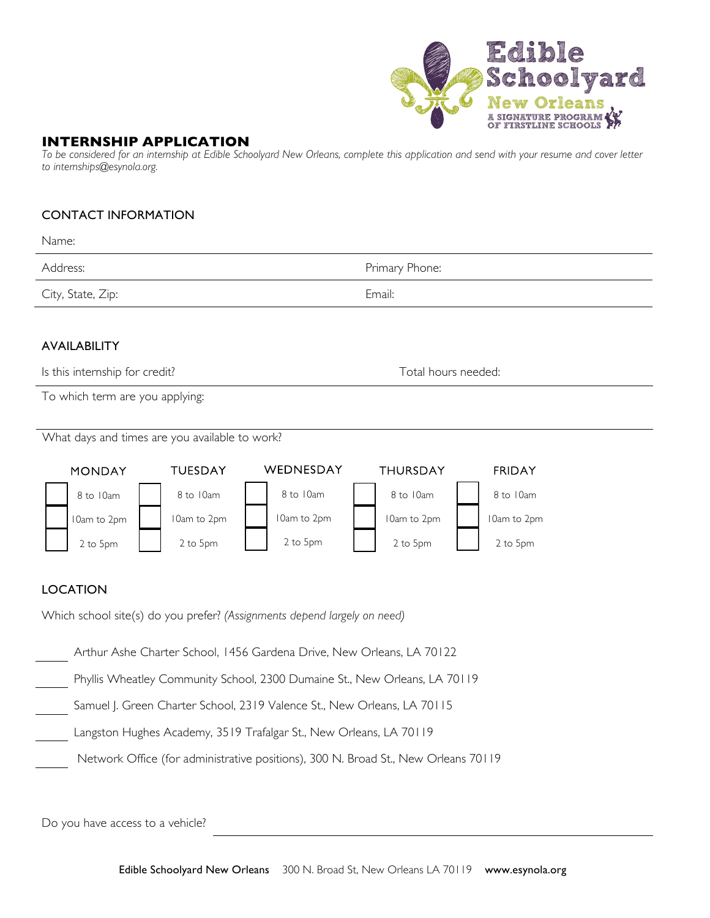

### **INTERNSHIP APPLICATION**

*To be considered for an internship at Edible Schoolyard New Orleans, complete this application and send with your resume and cover letter to internships@esynola.org.* 

#### CONTACT INFORMATION

| Name:                                                                                                                                                                                                                                                                                                                                                                                                                                                                                                                                                                                                                                                                                                                                                                               |  |                     |                |  |  |  |
|-------------------------------------------------------------------------------------------------------------------------------------------------------------------------------------------------------------------------------------------------------------------------------------------------------------------------------------------------------------------------------------------------------------------------------------------------------------------------------------------------------------------------------------------------------------------------------------------------------------------------------------------------------------------------------------------------------------------------------------------------------------------------------------|--|---------------------|----------------|--|--|--|
| Address:                                                                                                                                                                                                                                                                                                                                                                                                                                                                                                                                                                                                                                                                                                                                                                            |  |                     | Primary Phone: |  |  |  |
| City, State, Zip:                                                                                                                                                                                                                                                                                                                                                                                                                                                                                                                                                                                                                                                                                                                                                                   |  |                     | Email:         |  |  |  |
| <b>AVAILABILITY</b><br>Is this internship for credit?<br>To which term are you applying:                                                                                                                                                                                                                                                                                                                                                                                                                                                                                                                                                                                                                                                                                            |  | Total hours needed: |                |  |  |  |
| What days and times are you available to work?                                                                                                                                                                                                                                                                                                                                                                                                                                                                                                                                                                                                                                                                                                                                      |  |                     |                |  |  |  |
| WEDNESDAY<br><b>TUESDAY</b><br>THURSDAY<br><b>FRIDAY</b><br><b>MONDAY</b><br>8 to 10am<br>8 to 10am<br>8 to 10am<br>8 to 10am<br>8 to 10am<br>I 0am to 2pm<br>I Oam to 2pm<br>I Oam to 2pm<br>I Oam to 2pm<br>I 0am to 2pm<br>2 to 5pm<br>2 to 5pm<br>2 to 5pm<br>2 to 5pm<br>2 to 5pm<br><b>LOCATION</b><br>Which school site(s) do you prefer? (Assignments depend largely on need)<br>Arthur Ashe Charter School, 1456 Gardena Drive, New Orleans, LA 70122<br>Phyllis Wheatley Community School, 2300 Dumaine St., New Orleans, LA 70119<br>Samuel J. Green Charter School, 2319 Valence St., New Orleans, LA 70115<br>Langston Hughes Academy, 3519 Trafalgar St., New Orleans, LA 70119<br>Network Office (for administrative positions), 300 N. Broad St., New Orleans 70119 |  |                     |                |  |  |  |
|                                                                                                                                                                                                                                                                                                                                                                                                                                                                                                                                                                                                                                                                                                                                                                                     |  |                     |                |  |  |  |

Do you have access to a vehicle?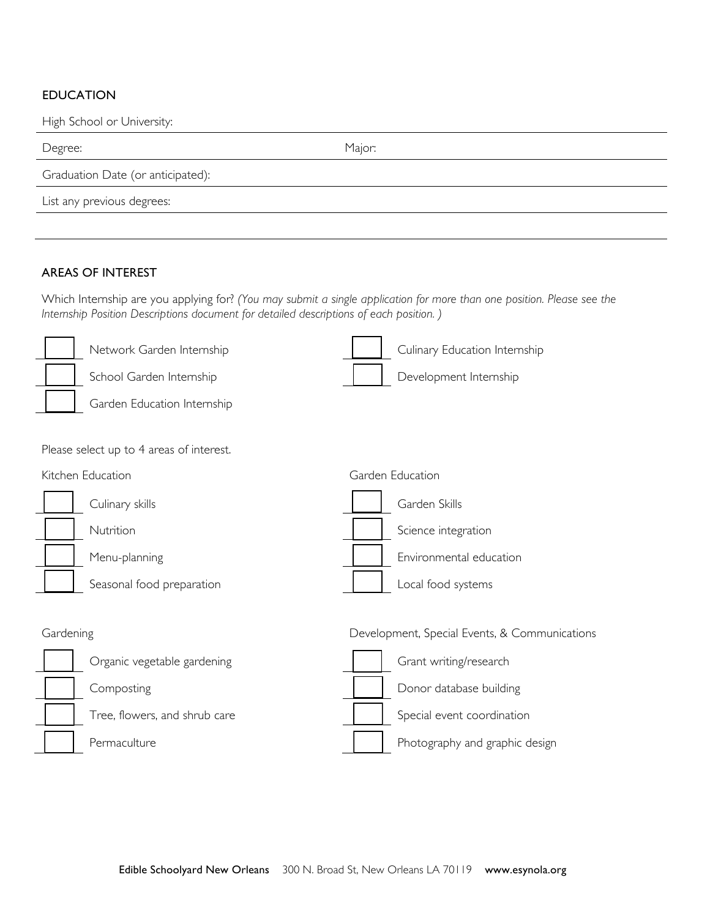## EDUCATION

High School or University:

| Degree:                           | Major: |  |  |  |  |
|-----------------------------------|--------|--|--|--|--|
| Graduation Date (or anticipated): |        |  |  |  |  |
| List any previous degrees:        |        |  |  |  |  |
|                                   |        |  |  |  |  |

### AREAS OF INTEREST

Which Internship are you applying for? *(You may submit a single application for more than one position. Please see the Internship Position Descriptions document for detailed descriptions of each position. )*

| Network Garden Internship                | Culinary Education Internship                 |
|------------------------------------------|-----------------------------------------------|
| School Garden Internship                 | Development Internship                        |
| Garden Education Internship              |                                               |
|                                          |                                               |
| Please select up to 4 areas of interest. |                                               |
| Kitchen Education                        | Garden Education                              |
| Culinary skills                          | Garden Skills                                 |
| Nutrition                                | Science integration                           |
| Menu-planning                            | Environmental education                       |
| Seasonal food preparation                | Local food systems                            |
|                                          |                                               |
| Gardening                                | Development, Special Events, & Communications |
| Organic vegetable gardening              | Grant writing/research                        |
| Composting                               | Donor database building                       |
| Tree, flowers, and shrub care            | Special event coordination                    |
| Permaculture                             | Photography and graphic design                |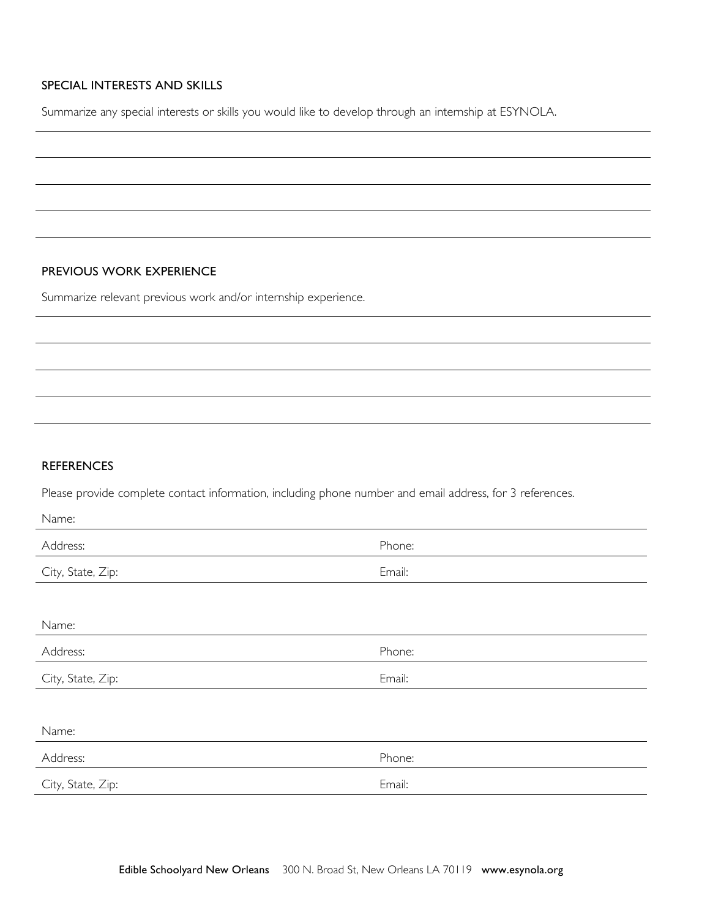# SPECIAL INTERESTS AND SKILLS

Summarize any special interests or skills you would like to develop through an internship at ESYNOLA.

#### PREVIOUS WORK EXPERIENCE

Summarize relevant previous work and/or internship experience.

# **REFERENCES**

Please provide complete contact information, including phone number and email address, for 3 references.

| Name:             |        |
|-------------------|--------|
| Address:          | Phone: |
| City, State, Zip: | Email: |
|                   |        |
| Name:             |        |
| Address:          | Phone: |
| City, State, Zip: | Email: |
|                   |        |
| Name:             |        |
| Address:          | Phone: |
| City, State, Zip: | Email: |